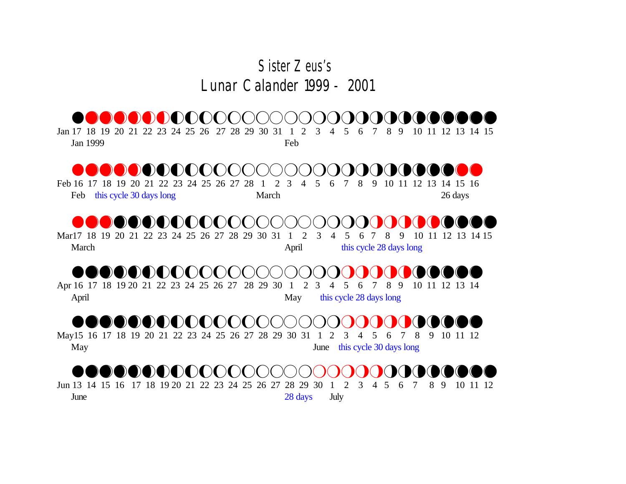#### *Sister Zeus's*  Lunar Calander 1999 - 2001

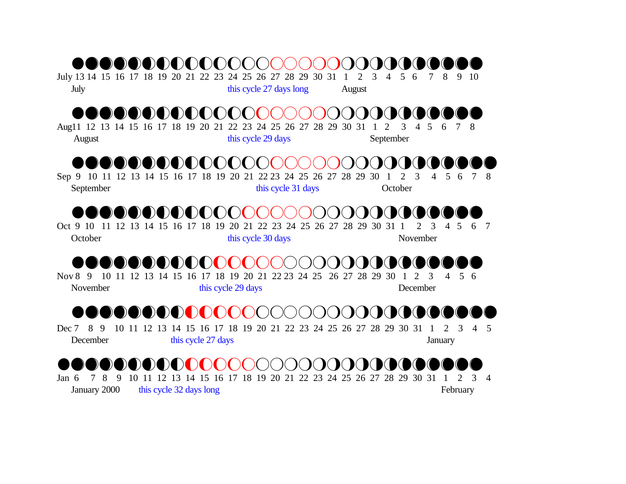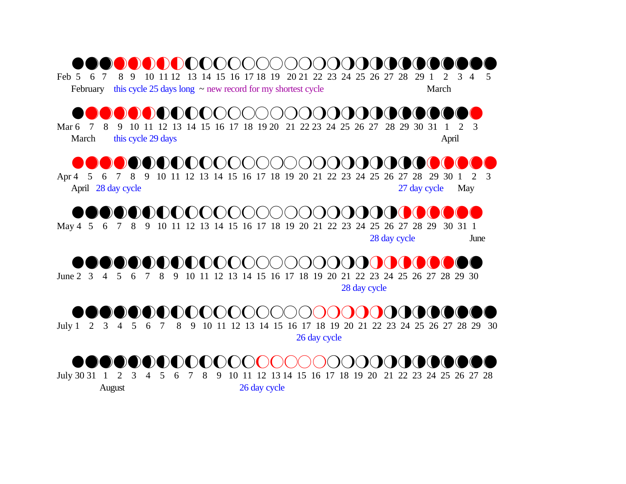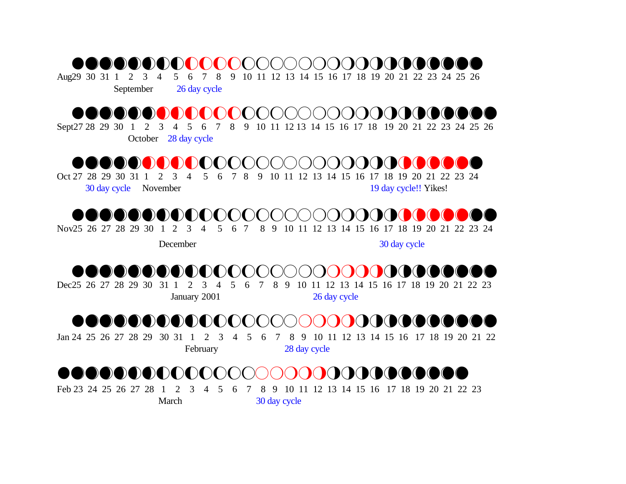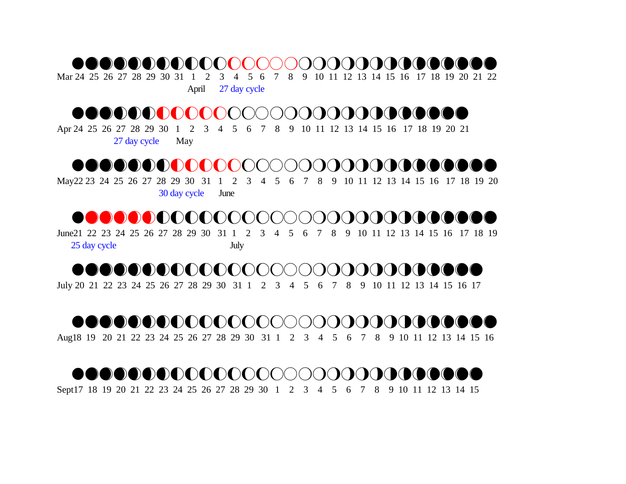#### NABCOERGHIJKLOOD KONGRAFGHIJKL

Mar 24 25 26 27 28 29 30 31 1 2 3 4 5 6 7 8 9 10 11 12 13 14 15 16 17 18 19 20 21 22

April 27 day cycle

## nABEEFGHIIJKL\NPQRRSSTUVWXYZ

Apr 24 25 26 27 28 29 30 1 2 3 4 5 6 7 8 9 10 11 12 13 14 15 16 17 18 19 20 21 27 day cycle May

#### nABCDEFGHHIJKL\NPQRRSSTUVWWXYZ

May22 23 24 25 26 27 28 29 30 31 1 2 3 4 5 6 7 8 9 10 11 12 13 14 15 16 17 18 19 20 30 day cycle June

#### nABCDEGHHHIJJKL\NPQRRSSTUVWXYZ

June21 22 23 24 25 26 27 28 29 30 31 1 2 3 4 5 6 7 8 9 10 11 12 13 14 15 16 17 18 19 25 day cycle July

## nABCDEEGHHHIJKL\NPQRRSSTUVXYZ

July 20 21 22 23 24 25 26 27 28 29 30 31 1 2 3 4 5 6 7 8 9 10 11 12 13 14 15 16 17

## nABCDEEGHHHIJJL\NPQRRSSTUVWXYZ

Aug18 19 20 21 22 23 24 25 26 27 28 29 30 31 1 2 3 4 5 6 7 8 9 10 11 12 13 14 15 16

# nABCDEEGHHHIJJL\NPQRRSTUVWXYZ

Sept17 18 19 20 21 22 23 24 25 26 27 28 29 30 1 2 3 4 5 6 7 8 9 10 11 12 13 14 15